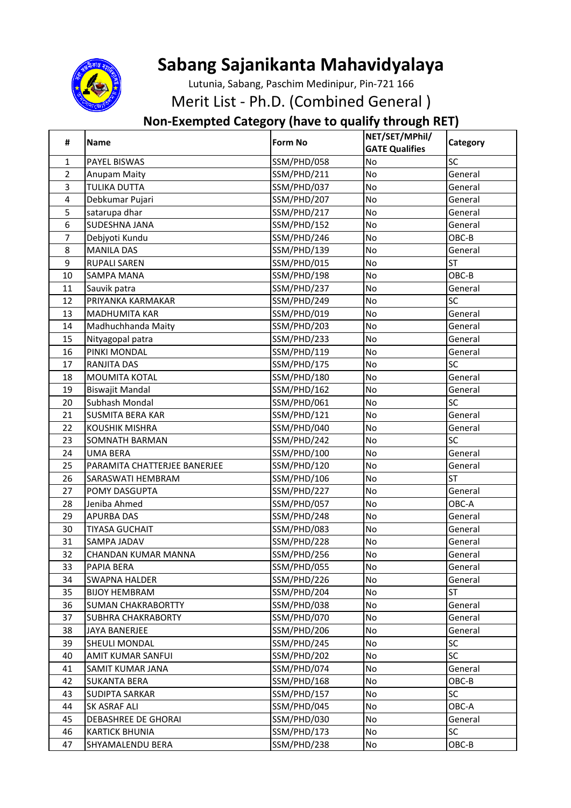

## **Sabang Sajanikanta Mahavidyalaya**

Lutunia, Sabang, Paschim Medinipur, Pin-721 166

Merit List - Ph.D. (Combined General )

## **Non-Exempted Category (have to qualify through RET)**

| #              | Name                         | Form No     | NET/SET/MPhil/<br><b>GATE Qualifies</b> | Category  |
|----------------|------------------------------|-------------|-----------------------------------------|-----------|
| $\mathbf{1}$   | PAYEL BISWAS                 | SSM/PHD/058 | No                                      | SC        |
| $\overline{2}$ | Anupam Maity                 | SSM/PHD/211 | No                                      | General   |
| 3              | <b>TULIKA DUTTA</b>          | SSM/PHD/037 | No                                      | General   |
| 4              | Debkumar Pujari              | SSM/PHD/207 | No                                      | General   |
| 5              | satarupa dhar                | SSM/PHD/217 | No                                      | General   |
| 6              | SUDESHNA JANA                | SSM/PHD/152 | No                                      | General   |
| 7              | Debjyoti Kundu               | SSM/PHD/246 | No                                      | OBC-B     |
| 8              | <b>MANILA DAS</b>            | SSM/PHD/139 | No                                      | General   |
| 9              | <b>RUPALI SAREN</b>          | SSM/PHD/015 | No                                      | <b>ST</b> |
| 10             | <b>SAMPA MANA</b>            | SSM/PHD/198 | No                                      | OBC-B     |
| 11             | Sauvik patra                 | SSM/PHD/237 | No                                      | General   |
| 12             | PRIYANKA KARMAKAR            | SSM/PHD/249 | No                                      | <b>SC</b> |
| 13             | <b>MADHUMITA KAR</b>         | SSM/PHD/019 | No                                      | General   |
| 14             | Madhuchhanda Maity           | SSM/PHD/203 | No                                      | General   |
| 15             | Nityagopal patra             | SSM/PHD/233 | No                                      | General   |
| 16             | PINKI MONDAL                 | SSM/PHD/119 | No                                      | General   |
| 17             | <b>RANJITA DAS</b>           | SSM/PHD/175 | No                                      | SC        |
| 18             | <b>MOUMITA KOTAL</b>         | SSM/PHD/180 | No                                      | General   |
| 19             | <b>Biswajit Mandal</b>       | SSM/PHD/162 | No                                      | General   |
| 20             | Subhash Mondal               | SSM/PHD/061 | No                                      | SC        |
| 21             | <b>SUSMITA BERA KAR</b>      | SSM/PHD/121 | No                                      | General   |
| 22             | <b>KOUSHIK MISHRA</b>        | SSM/PHD/040 | No                                      | General   |
| 23             | <b>SOMNATH BARMAN</b>        | SSM/PHD/242 | No                                      | SC        |
| 24             | <b>UMA BERA</b>              | SSM/PHD/100 | No                                      | General   |
| 25             | PARAMITA CHATTERJEE BANERJEE | SSM/PHD/120 | No                                      | General   |
| 26             | SARASWATI HEMBRAM            | SSM/PHD/106 | No                                      | <b>ST</b> |
| 27             | POMY DASGUPTA                | SSM/PHD/227 | No                                      | General   |
| 28             | Jeniba Ahmed                 | SSM/PHD/057 | No                                      | OBC-A     |
| 29             | <b>APURBA DAS</b>            | SSM/PHD/248 | No                                      | General   |
| 30             | <b>TIYASA GUCHAIT</b>        | SSM/PHD/083 | No                                      | General   |
| 31             | SAMPA JADAV                  | SSM/PHD/228 | No                                      | General   |
| 32             | CHANDAN KUMAR MANNA          | SSM/PHD/256 | No                                      | General   |
| 33             | PAPIA BERA                   | SSM/PHD/055 | No                                      | General   |
| 34             | <b>SWAPNA HALDER</b>         | SSM/PHD/226 | No                                      | General   |
| 35             | <b>BIJOY HEMBRAM</b>         | SSM/PHD/204 | No                                      | <b>ST</b> |
| 36             | <b>SUMAN CHAKRABORTTY</b>    | SSM/PHD/038 | No                                      | General   |
| 37             | <b>SUBHRA CHAKRABORTY</b>    | SSM/PHD/070 | No                                      | General   |
| 38             | <b>JAYA BANERJEE</b>         | SSM/PHD/206 | No                                      | General   |
| 39             | SHEULI MONDAL                | SSM/PHD/245 | No                                      | SC        |
| 40             | AMIT KUMAR SANFUI            | SSM/PHD/202 | No                                      | SC        |
| 41             | SAMIT KUMAR JANA             | SSM/PHD/074 | No                                      | General   |
| 42             | <b>SUKANTA BERA</b>          | SSM/PHD/168 | No                                      | OBC-B     |
| 43             | <b>SUDIPTA SARKAR</b>        | SSM/PHD/157 | No                                      | <b>SC</b> |
| 44             | SK ASRAF ALI                 | SSM/PHD/045 | No                                      | OBC-A     |
| 45             | <b>DEBASHREE DE GHORAI</b>   | SSM/PHD/030 | No                                      | General   |
| 46             | <b>KARTICK BHUNIA</b>        | SSM/PHD/173 | No                                      | <b>SC</b> |
| 47             | SHYAMALENDU BERA             | SSM/PHD/238 | No                                      | OBC-B     |